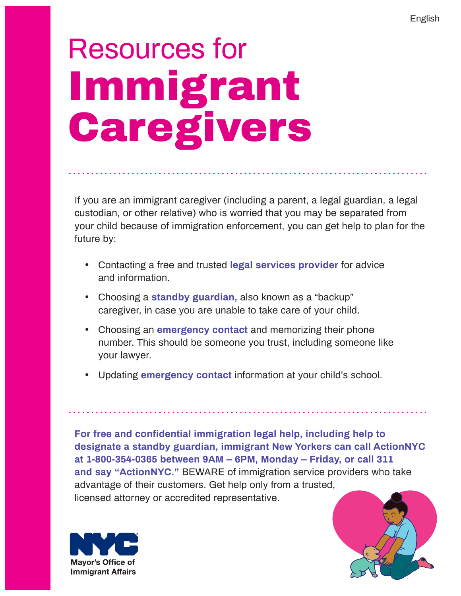# Resources for Immigrant **Caregivers**

If you are an immigrant caregiver (including a parent, a legal guardian, a legal custodian, or other relative) who is worried that you may be separated from your child because of immigration enforcement, you can get help to plan for the future by:

- · Contacting a free and trusted **legal services provider** for advice and information.
- · Choosing a **standby guardian,** also known as a "backup" caregiver, in case you are unable to take care of your child.
- · Choosing an **emergency contact** and memorizing their phone number. This should be someone you trust, including someone like your lawyer.
- · Updating **emergency contact** information at your child's school.

**For free and confidential immigration legal help, including help to designate a standby guardian, immigrant New Yorkers can call ActionNYC at 1-800-354-0365 between 9AM – 6PM, Monday – Friday, or call 311 and say "ActionNYC."** BEWARE of immigration service providers who take advantage of their customers. Get help only from a trusted, licensed attorney or accredited representative.